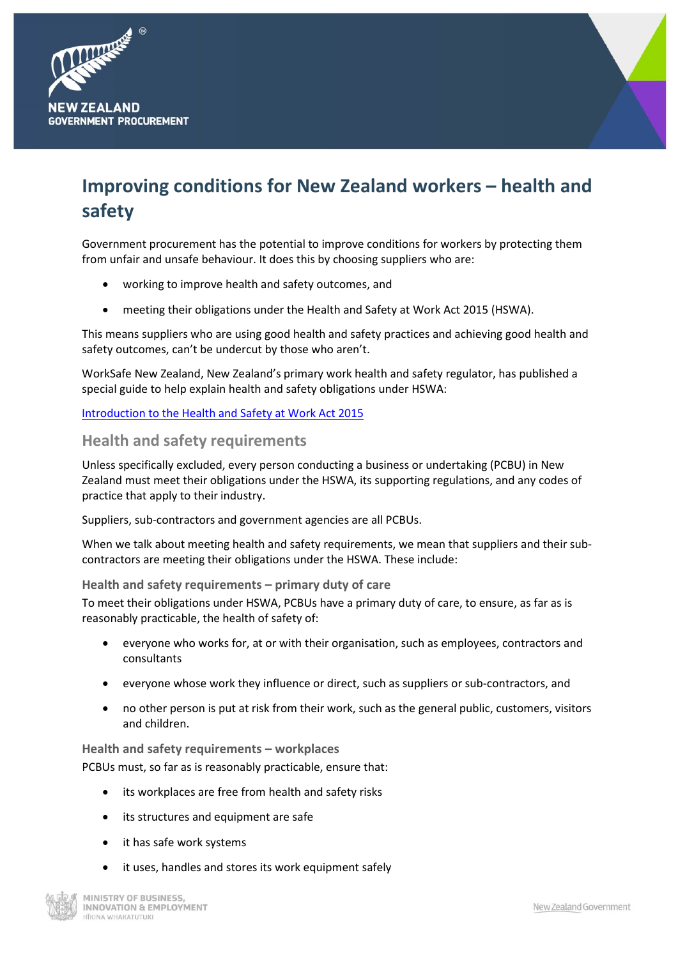



# **Improving conditions for New Zealand workers – health and safety**

Government procurement has the potential to improve conditions for workers by protecting them from unfair and unsafe behaviour. It does this by choosing suppliers who are:

- working to improve health and safety outcomes, and
- meeting their obligations under the Health and Safety at Work Act 2015 (HSWA).

This means suppliers who are using good health and safety practices and achieving good health and safety outcomes, can't be undercut by those who aren't.

WorkSafe New Zealand, New Zealand's primary work health and safety regulator, has published a special guide to help explain health and safety obligations under HSWA:

## [Introduction to the Health and Safety at Work Act 2015](https://worksafe.govt.nz/dmsdocument/824-introduction-to-the-health-and-safety-at-work-act-2015-special-guide)

# **Health and safety requirements**

Unless specifically excluded, every person conducting a business or undertaking (PCBU) in New Zealand must meet their obligations under the HSWA, its supporting regulations, and any codes of practice that apply to their industry.

Suppliers, sub-contractors and government agencies are all PCBUs.

When we talk about meeting health and safety requirements, we mean that suppliers and their subcontractors are meeting their obligations under the HSWA. These include:

**Health and safety requirements – primary duty of care**

To meet their obligations under HSWA, PCBUs have a primary duty of care, to ensure, as far as is reasonably practicable, the health of safety of:

- everyone who works for, at or with their organisation, such as employees, contractors and consultants
- everyone whose work they influence or direct, such as suppliers or sub-contractors, and
- no other person is put at risk from their work, such as the general public, customers, visitors and children.

**Health and safety requirements – workplaces** PCBUs must, so far as is reasonably practicable, ensure that:

- its workplaces are free from health and safety risks
- its structures and equipment are safe
- it has safe work systems
- it uses, handles and stores its work equipment safely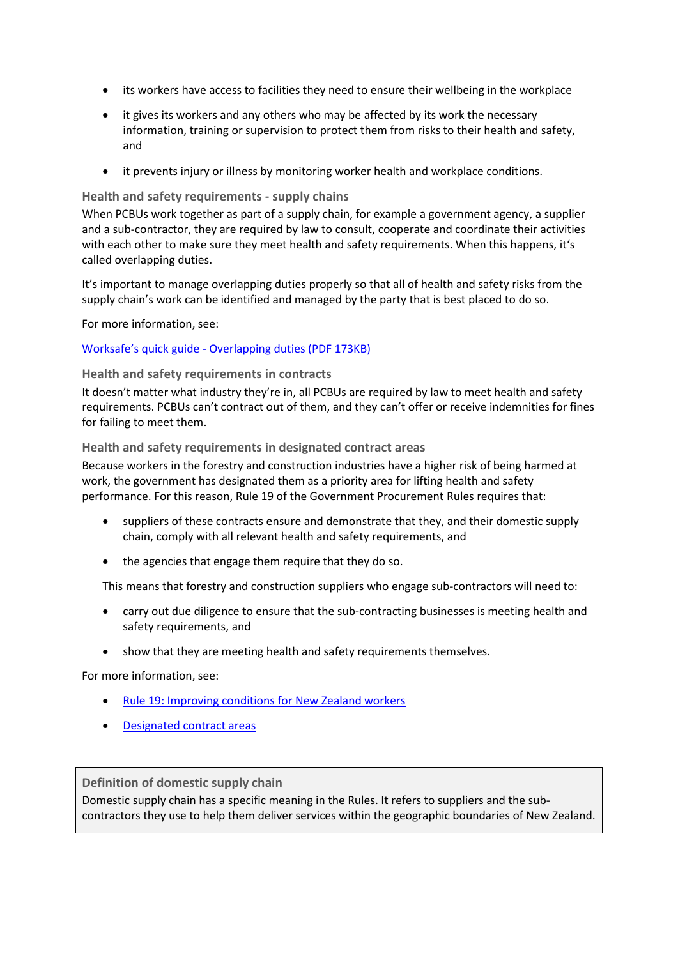- its workers have access to facilities they need to ensure their wellbeing in the workplace
- it gives its workers and any others who may be affected by its work the necessary information, training or supervision to protect them from risks to their health and safety, and
- it prevents injury or illness by monitoring worker health and workplace conditions.

# **Health and safety requirements - supply chains**

When PCBUs work together as part of a supply chain, for example a government agency, a supplier and a sub-contractor, they are required by law to consult, cooperate and coordinate their activities with each other to make sure they meet health and safety requirements. When this happens, it's called overlapping duties.

It's important to manage overlapping duties properly so that all of health and safety risks from the supply chain's work can be identified and managed by the party that is best placed to do so.

For more information, see:

# Worksafe's quick guide - [Overlapping duties \(PDF 173KB\)](https://worksafe.govt.nz/dmsdocument/851-overlapping-duties)

# **Health and safety requirements in contracts**

It doesn't matter what industry they're in, all PCBUs are required by law to meet health and safety requirements. PCBUs can't contract out of them, and they can't offer or receive indemnities for fines for failing to meet them.

# **Health and safety requirements in designated contract areas**

Because workers in the forestry and construction industries have a higher risk of being harmed at work, the government has designated them as a priority area for lifting health and safety performance. For this reason, Rule 19 of the Government Procurement Rules requires that:

- suppliers of these contracts ensure and demonstrate that they, and their domestic supply chain, comply with all relevant health and safety requirements, and
- the agencies that engage them require that they do so.

This means that forestry and construction suppliers who engage sub-contractors will need to:

- carry out due diligence to ensure that the sub-contracting businesses is meeting health and safety requirements, and
- show that they are meeting health and safety requirements themselves.

For more information, see:

- [Rule 19: Improving conditions for New Zealand workers](https://www.procurement.govt.nz/procurement/principles-and-rules/government-procurement-rules/planning-your-procurement/improving-conditions-for-new-zealand-workers/)
- [Designated contract areas](https://www.procurement.govt.nz/broader-outcomes/designated-contract-areas/)

# **Definition of domestic supply chain**

Domestic supply chain has a specific meaning in the Rules. It refers to suppliers and the subcontractors they use to help them deliver services within the geographic boundaries of New Zealand.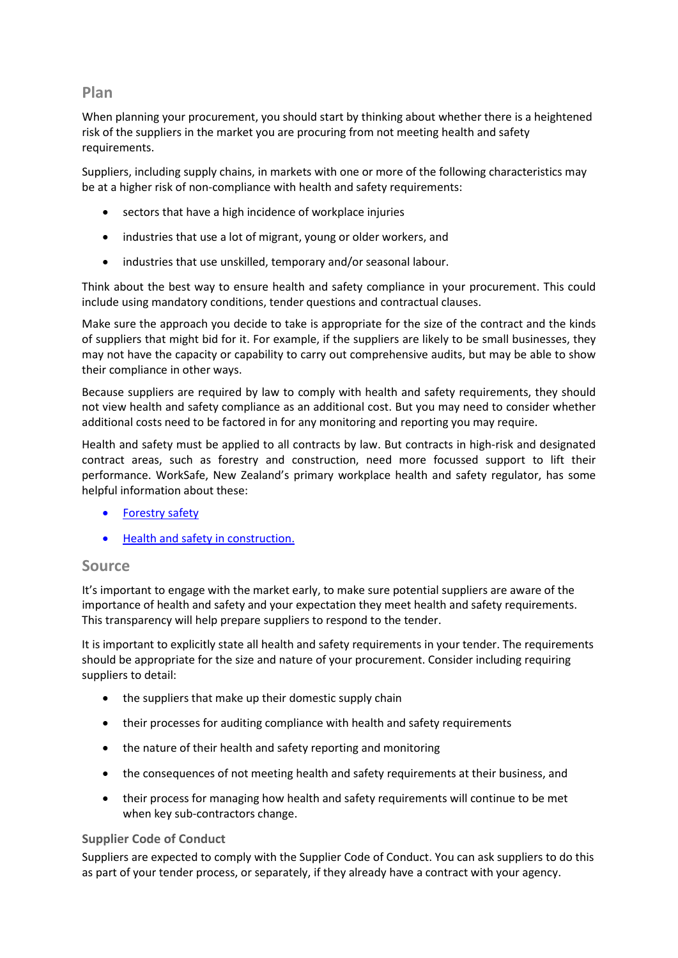# **Plan**

When planning your procurement, you should start by thinking about whether there is a heightened risk of the suppliers in the market you are procuring from not meeting health and safety requirements.

Suppliers, including supply chains, in markets with one or more of the following characteristics may be at a higher risk of non-compliance with health and safety requirements:

- sectors that have a high incidence of workplace injuries
- industries that use a lot of migrant, young or older workers, and
- industries that use unskilled, temporary and/or seasonal labour.

Think about the best way to ensure health and safety compliance in your procurement. This could include using mandatory conditions, tender questions and contractual clauses.

Make sure the approach you decide to take is appropriate for the size of the contract and the kinds of suppliers that might bid for it. For example, if the suppliers are likely to be small businesses, they may not have the capacity or capability to carry out comprehensive audits, but may be able to show their compliance in other ways.

Because suppliers are required by law to comply with health and safety requirements, they should not view health and safety compliance as an additional cost. But you may need to consider whether additional costs need to be factored in for any monitoring and reporting you may require.

Health and safety must be applied to all contracts by law. But contracts in high-risk and designated contract areas, such as forestry and construction, need more focussed support to lift their performance. WorkSafe, New Zealand's primary workplace health and safety regulator, has some helpful information about these:

- [Forestry safety](https://worksafe.govt.nz/about-us/news-and-media/forestry-safety/)
- [Health and safety in construction.](https://worksafe.govt.nz/topic-and-industry/building-and-construction/health-and-safety-in-construction-your-questions/)

# **Source**

It's important to engage with the market early, to make sure potential suppliers are aware of the importance of health and safety and your expectation they meet health and safety requirements. This transparency will help prepare suppliers to respond to the tender.

It is important to explicitly state all health and safety requirements in your tender. The requirements should be appropriate for the size and nature of your procurement. Consider including requiring suppliers to detail:

- the suppliers that make up their domestic supply chain
- their processes for auditing compliance with health and safety requirements
- the nature of their health and safety reporting and monitoring
- the consequences of not meeting health and safety requirements at their business, and
- their process for managing how health and safety requirements will continue to be met when key sub-contractors change.

# **Supplier Code of Conduct**

Suppliers are expected to comply with the Supplier Code of Conduct. You can ask suppliers to do this as part of your tender process, or separately, if they already have a contract with your agency.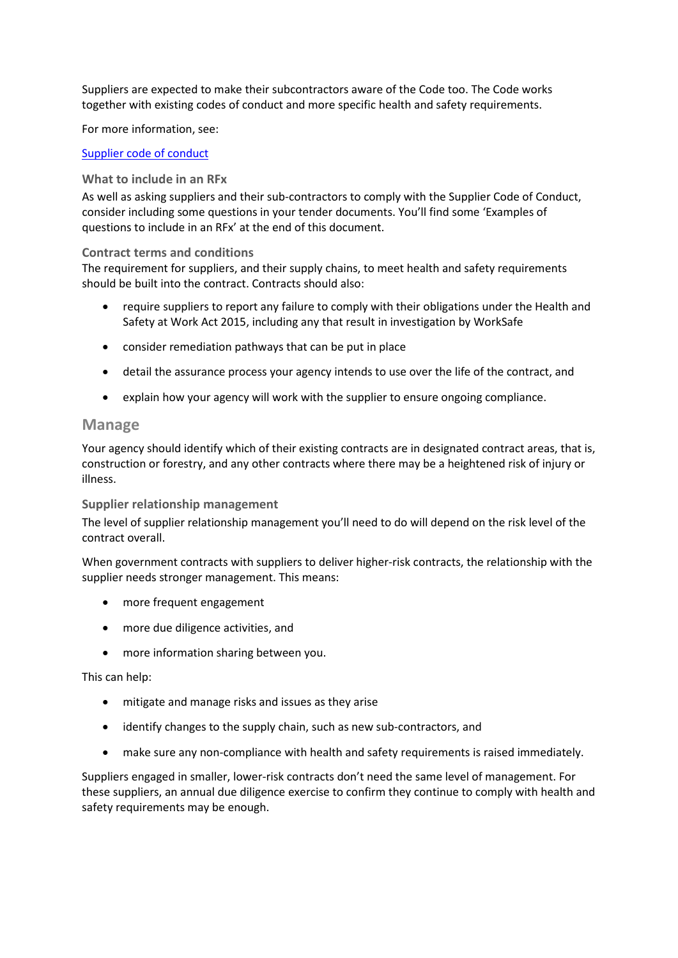Suppliers are expected to make their subcontractors aware of the Code too. The Code works together with existing codes of conduct and more specific health and safety requirements.

For more information, see:

#### [Supplier code of conduct](https://www.procurement.govt.nz/broader-outcomes/supplier-code-of-conduct/)

#### **What to include in an RFx**

As well as asking suppliers and their sub-contractors to comply with the Supplier Code of Conduct, consider including some questions in your tender documents. You'll find some 'Examples of questions to include in an RFx' at the end of this document.

#### **Contract terms and conditions**

The requirement for suppliers, and their supply chains, to meet health and safety requirements should be built into the contract. Contracts should also:

- require suppliers to report any failure to comply with their obligations under the Health and Safety at Work Act 2015, including any that result in investigation by WorkSafe
- consider remediation pathways that can be put in place
- detail the assurance process your agency intends to use over the life of the contract, and
- explain how your agency will work with the supplier to ensure ongoing compliance.

## **Manage**

Your agency should identify which of their existing contracts are in designated contract areas, that is, construction or forestry, and any other contracts where there may be a heightened risk of injury or illness.

## **Supplier relationship management**

The level of supplier relationship management you'll need to do will depend on the risk level of the contract overall.

When government contracts with suppliers to deliver higher-risk contracts, the relationship with the supplier needs stronger management. This means:

- more frequent engagement
- more due diligence activities, and
- more information sharing between you.

#### This can help:

- mitigate and manage risks and issues as they arise
- identify changes to the supply chain, such as new sub-contractors, and
- make sure any non-compliance with health and safety requirements is raised immediately.

Suppliers engaged in smaller, lower-risk contracts don't need the same level of management. For these suppliers, an annual due diligence exercise to confirm they continue to comply with health and safety requirements may be enough.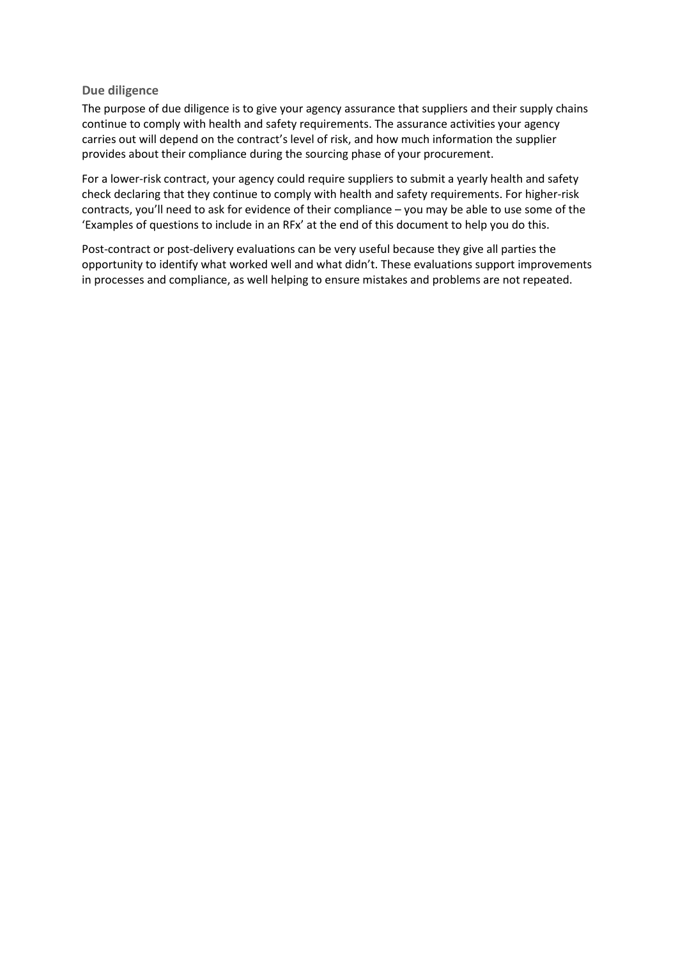#### **Due diligence**

The purpose of due diligence is to give your agency assurance that suppliers and their supply chains continue to comply with health and safety requirements. The assurance activities your agency carries out will depend on the contract's level of risk, and how much information the supplier provides about their compliance during the sourcing phase of your procurement.

For a lower-risk contract, your agency could require suppliers to submit a yearly health and safety check declaring that they continue to comply with health and safety requirements. For higher-risk contracts, you'll need to ask for evidence of their compliance – you may be able to use some of the 'Examples of questions to include in an RFx' at the end of this document to help you do this.

Post-contract or post-delivery evaluations can be very useful because they give all parties the opportunity to identify what worked well and what didn't. These evaluations support improvements in processes and compliance, as well helping to ensure mistakes and problems are not repeated.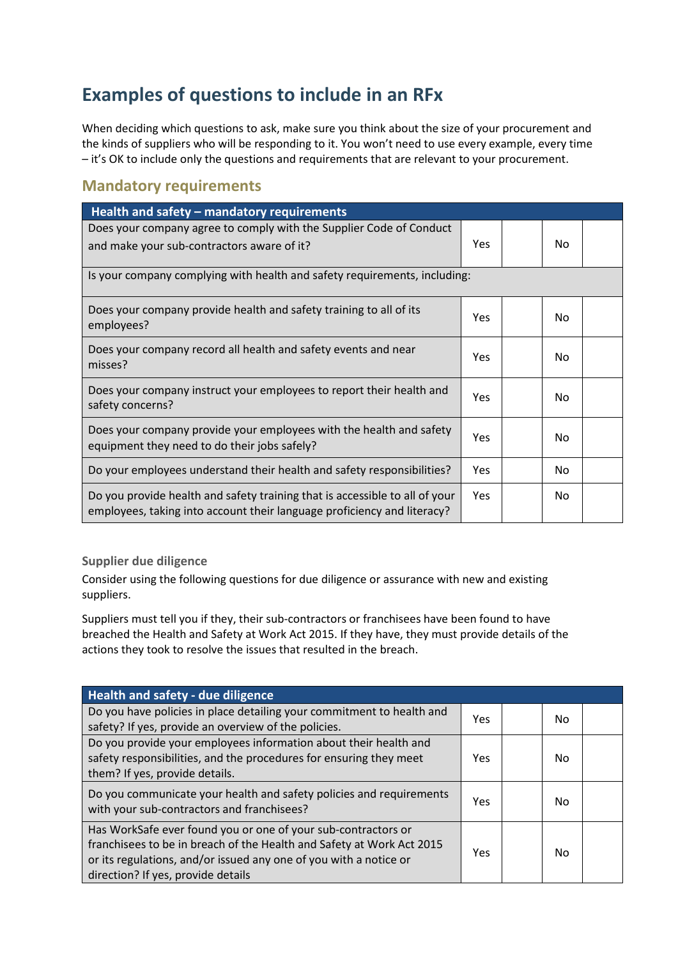# **Examples of questions to include in an RFx**

When deciding which questions to ask, make sure you think about the size of your procurement and the kinds of suppliers who will be responding to it. You won't need to use every example, every time – it's OK to include only the questions and requirements that are relevant to your procurement.

# **Mandatory requirements**

| Health and safety - mandatory requirements                                                                                                             |     |  |     |  |
|--------------------------------------------------------------------------------------------------------------------------------------------------------|-----|--|-----|--|
| Does your company agree to comply with the Supplier Code of Conduct<br>and make your sub-contractors aware of it?                                      |     |  | No  |  |
| Is your company complying with health and safety requirements, including:                                                                              |     |  |     |  |
| Does your company provide health and safety training to all of its<br>employees?                                                                       | Yes |  | No  |  |
| Does your company record all health and safety events and near<br>misses?                                                                              |     |  | Nο  |  |
| Does your company instruct your employees to report their health and<br>safety concerns?                                                               |     |  | No. |  |
| Does your company provide your employees with the health and safety<br>equipment they need to do their jobs safely?                                    |     |  | N٥  |  |
| Do your employees understand their health and safety responsibilities?                                                                                 |     |  | No. |  |
| Do you provide health and safety training that is accessible to all of your<br>employees, taking into account their language proficiency and literacy? |     |  | No  |  |

**Supplier due diligence** 

Consider using the following questions for due diligence or assurance with new and existing suppliers.

Suppliers must tell you if they, their sub-contractors or franchisees have been found to have breached the Health and Safety at Work Act 2015. If they have, they must provide details of the actions they took to resolve the issues that resulted in the breach.

| Health and safety - due diligence                                                                                                                                                                                                                 |     |  |     |  |
|---------------------------------------------------------------------------------------------------------------------------------------------------------------------------------------------------------------------------------------------------|-----|--|-----|--|
| Do you have policies in place detailing your commitment to health and<br>safety? If yes, provide an overview of the policies.                                                                                                                     | Yes |  | No. |  |
| Do you provide your employees information about their health and<br>safety responsibilities, and the procedures for ensuring they meet<br>them? If yes, provide details.                                                                          | Yes |  | No. |  |
| Do you communicate your health and safety policies and requirements<br>with your sub-contractors and franchisees?                                                                                                                                 | Yes |  | No  |  |
| Has WorkSafe ever found you or one of your sub-contractors or<br>franchisees to be in breach of the Health and Safety at Work Act 2015<br>or its regulations, and/or issued any one of you with a notice or<br>direction? If yes, provide details | Yes |  | No  |  |